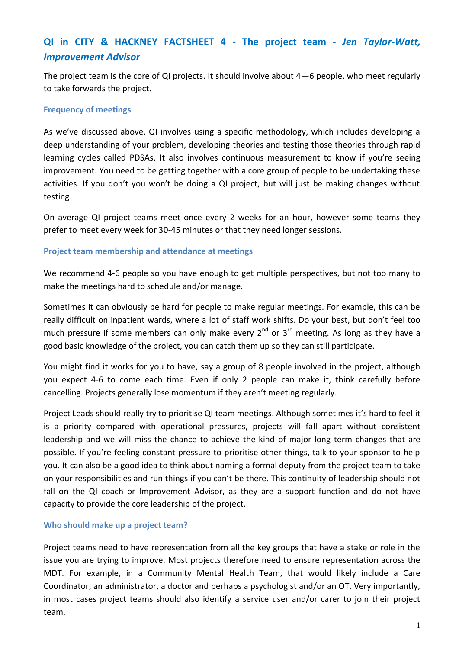# **QI in CITY & HACKNEY FACTSHEET 4 - The project team -** *Jen Taylor-Watt, Improvement Advisor*

The project team is the core of QI projects. It should involve about 4—6 people, who meet regularly to take forwards the project.

#### **Frequency of meetings**

As we've discussed above, QI involves using a specific methodology, which includes developing a deep understanding of your problem, developing theories and testing those theories through rapid learning cycles called PDSAs. It also involves continuous measurement to know if you're seeing improvement. You need to be getting together with a core group of people to be undertaking these activities. If you don't you won't be doing a QI project, but will just be making changes without testing.

On average QI project teams meet once every 2 weeks for an hour, however some teams they prefer to meet every week for 30-45 minutes or that they need longer sessions.

#### **Project team membership and attendance at meetings**

We recommend 4-6 people so you have enough to get multiple perspectives, but not too many to make the meetings hard to schedule and/or manage.

Sometimes it can obviously be hard for people to make regular meetings. For example, this can be really difficult on inpatient wards, where a lot of staff work shifts. Do your best, but don't feel too much pressure if some members can only make every  $2^{nd}$  or  $3^{rd}$  meeting. As long as they have a good basic knowledge of the project, you can catch them up so they can still participate.

You might find it works for you to have, say a group of 8 people involved in the project, although you expect 4-6 to come each time. Even if only 2 people can make it, think carefully before cancelling. Projects generally lose momentum if they aren't meeting regularly.

Project Leads should really try to prioritise QI team meetings. Although sometimes it's hard to feel it is a priority compared with operational pressures, projects will fall apart without consistent leadership and we will miss the chance to achieve the kind of major long term changes that are possible. If you're feeling constant pressure to prioritise other things, talk to your sponsor to help you. It can also be a good idea to think about naming a formal deputy from the project team to take on your responsibilities and run things if you can't be there. This continuity of leadership should not fall on the QI coach or Improvement Advisor, as they are a support function and do not have capacity to provide the core leadership of the project.

## **Who should make up a project team?**

Project teams need to have representation from all the key groups that have a stake or role in the issue you are trying to improve. Most projects therefore need to ensure representation across the MDT. For example, in a Community Mental Health Team, that would likely include a Care Coordinator, an administrator, a doctor and perhaps a psychologist and/or an OT. Very importantly, in most cases project teams should also identify a service user and/or carer to join their project team.